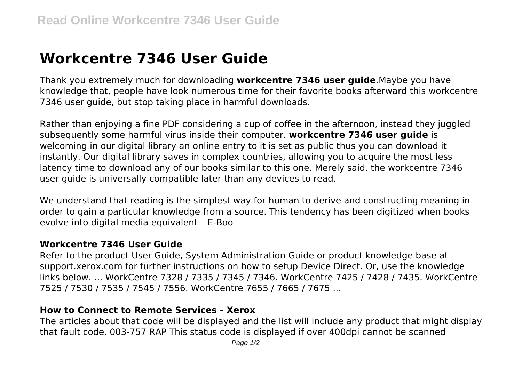# **Workcentre 7346 User Guide**

Thank you extremely much for downloading **workcentre 7346 user guide**.Maybe you have knowledge that, people have look numerous time for their favorite books afterward this workcentre 7346 user guide, but stop taking place in harmful downloads.

Rather than enjoying a fine PDF considering a cup of coffee in the afternoon, instead they juggled subsequently some harmful virus inside their computer. **workcentre 7346 user guide** is welcoming in our digital library an online entry to it is set as public thus you can download it instantly. Our digital library saves in complex countries, allowing you to acquire the most less latency time to download any of our books similar to this one. Merely said, the workcentre 7346 user guide is universally compatible later than any devices to read.

We understand that reading is the simplest way for human to derive and constructing meaning in order to gain a particular knowledge from a source. This tendency has been digitized when books evolve into digital media equivalent – E-Boo

### **Workcentre 7346 User Guide**

Refer to the product User Guide, System Administration Guide or product knowledge base at support.xerox.com for further instructions on how to setup Device Direct. Or, use the knowledge links below. ... WorkCentre 7328 / 7335 / 7345 / 7346. WorkCentre 7425 / 7428 / 7435. WorkCentre 7525 / 7530 / 7535 / 7545 / 7556. WorkCentre 7655 / 7665 / 7675 ...

### **How to Connect to Remote Services - Xerox**

The articles about that code will be displayed and the list will include any product that might display that fault code. 003-757 RAP This status code is displayed if over 400dpi cannot be scanned